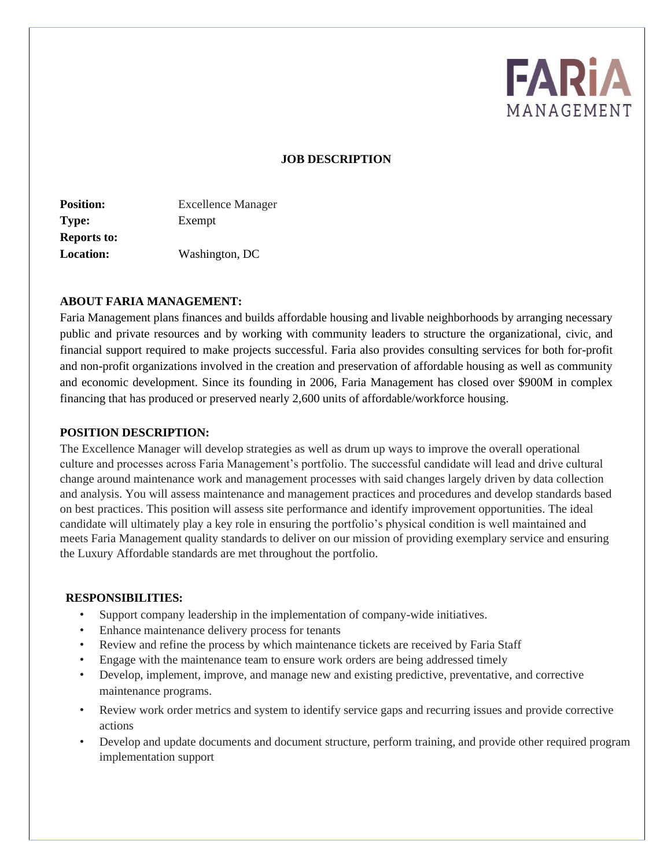

### **JOB DESCRIPTION**

| <b>Excellence Manager</b> |
|---------------------------|
| Exempt                    |
|                           |
| Washington, DC            |
|                           |

#### **ABOUT FARIA MANAGEMENT:**

Faria Management plans finances and builds affordable housing and livable neighborhoods by arranging necessary public and private resources and by working with community leaders to structure the organizational, civic, and financial support required to make projects successful. Faria also provides consulting services for both for-profit and non-profit organizations involved in the creation and preservation of affordable housing as well as community and economic development. Since its founding in 2006, Faria Management has closed over \$900M in complex financing that has produced or preserved nearly 2,600 units of affordable/workforce housing.

#### **POSITION DESCRIPTION:**

The Excellence Manager will develop strategies as well as drum up ways to improve the overall operational culture and processes across Faria Management's portfolio. The successful candidate will lead and drive cultural change around maintenance work and management processes with said changes largely driven by data collection and analysis. You will assess maintenance and management practices and procedures and develop standards based on best practices. This position will assess site performance and identify improvement opportunities. The ideal candidate will ultimately play a key role in ensuring the portfolio's physical condition is well maintained and meets Faria Management quality standards to deliver on our mission of providing exemplary service and ensuring the Luxury Affordable standards are met throughout the portfolio.

#### **RESPONSIBILITIES:**

- Support company leadership in the implementation of company-wide initiatives.
- Enhance maintenance delivery process for tenants
- Review and refine the process by which maintenance tickets are received by Faria Staff
- Engage with the maintenance team to ensure work orders are being addressed timely
- Develop, implement, improve, and manage new and existing predictive, preventative, and corrective maintenance programs.
- Review work order metrics and system to identify service gaps and recurring issues and provide corrective actions
- Develop and update documents and document structure, perform training, and provide other required program implementation support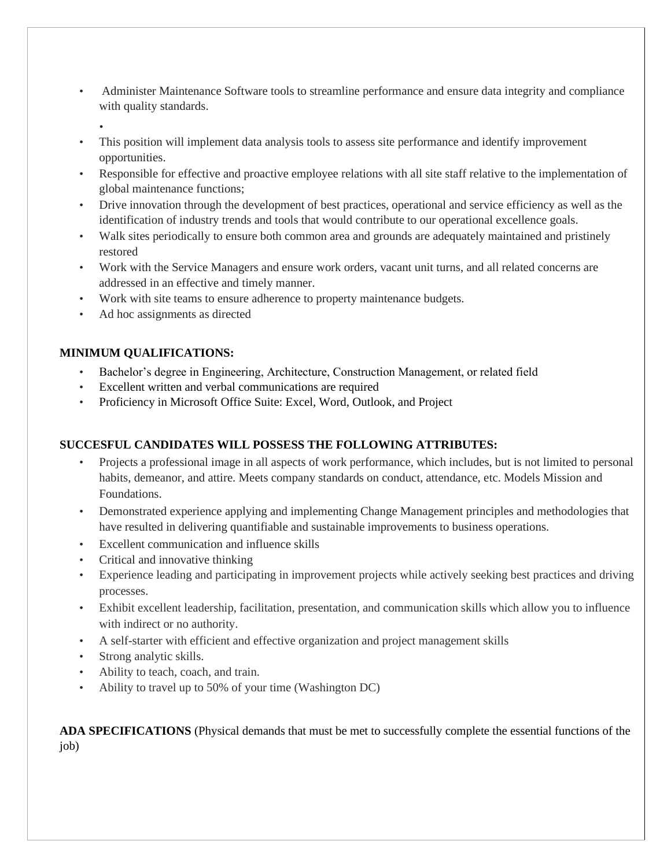- Administer Maintenance Software tools to streamline performance and ensure data integrity and compliance with quality standards.
	- •
- This position will implement data analysis tools to assess site performance and identify improvement opportunities.
- Responsible for effective and proactive employee relations with all site staff relative to the implementation of global maintenance functions;
- Drive innovation through the development of best practices, operational and service efficiency as well as the identification of industry trends and tools that would contribute to our operational excellence goals.
- Walk sites periodically to ensure both common area and grounds are adequately maintained and pristinely restored
- Work with the Service Managers and ensure work orders, vacant unit turns, and all related concerns are addressed in an effective and timely manner.
- Work with site teams to ensure adherence to property maintenance budgets.
- Ad hoc assignments as directed

## **MINIMUM QUALIFICATIONS:**

- Bachelor's degree in Engineering, Architecture, Construction Management, or related field
- Excellent written and verbal communications are required
- Proficiency in Microsoft Office Suite: Excel, Word, Outlook, and Project

# **SUCCESFUL CANDIDATES WILL POSSESS THE FOLLOWING ATTRIBUTES:**

- Projects a professional image in all aspects of work performance, which includes, but is not limited to personal habits, demeanor, and attire. Meets company standards on conduct, attendance, etc. Models Mission and Foundations.
- Demonstrated experience applying and implementing Change Management principles and methodologies that have resulted in delivering quantifiable and sustainable improvements to business operations.
- Excellent communication and influence skills
- Critical and innovative thinking
- Experience leading and participating in improvement projects while actively seeking best practices and driving processes.
- Exhibit excellent leadership, facilitation, presentation, and communication skills which allow you to influence with indirect or no authority.
- A self-starter with efficient and effective organization and project management skills
- Strong analytic skills.
- Ability to teach, coach, and train.
- Ability to travel up to 50% of your time (Washington DC)

**ADA SPECIFICATIONS** (Physical demands that must be met to successfully complete the essential functions of the job)